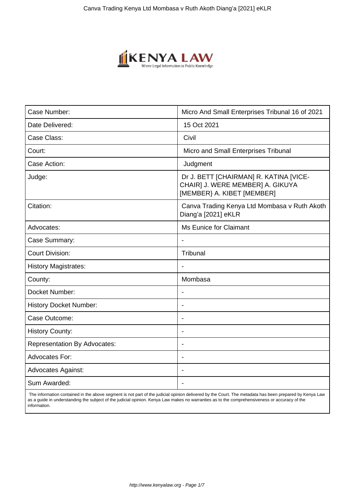

| Case Number:                        | Micro And Small Enterprises Tribunal 16 of 2021                                                          |
|-------------------------------------|----------------------------------------------------------------------------------------------------------|
| Date Delivered:                     | 15 Oct 2021                                                                                              |
| Case Class:                         | Civil                                                                                                    |
| Court:                              | Micro and Small Enterprises Tribunal                                                                     |
| Case Action:                        | Judgment                                                                                                 |
| Judge:                              | Dr J. BETT [CHAIRMAN] R. KATINA [VICE-<br>CHAIR] J. WERE MEMBER] A. GIKUYA<br>[MEMBER} A. KIBET [MEMBER] |
| Citation:                           | Canva Trading Kenya Ltd Mombasa v Ruth Akoth<br>Diang'a [2021] eKLR                                      |
| Advocates:                          | <b>Ms Eunice for Claimant</b>                                                                            |
| Case Summary:                       |                                                                                                          |
| <b>Court Division:</b>              | Tribunal                                                                                                 |
| <b>History Magistrates:</b>         | $\overline{\phantom{a}}$                                                                                 |
| County:                             | Mombasa                                                                                                  |
| Docket Number:                      |                                                                                                          |
| <b>History Docket Number:</b>       | $\qquad \qquad \blacksquare$                                                                             |
| Case Outcome:                       |                                                                                                          |
| <b>History County:</b>              | $\overline{\phantom{a}}$                                                                                 |
| <b>Representation By Advocates:</b> | $\overline{\phantom{a}}$                                                                                 |
| Advocates For:                      | $\blacksquare$                                                                                           |
| <b>Advocates Against:</b>           | $\overline{\phantom{0}}$                                                                                 |
| Sum Awarded:                        |                                                                                                          |

 The information contained in the above segment is not part of the judicial opinion delivered by the Court. The metadata has been prepared by Kenya Law as a guide in understanding the subject of the judicial opinion. Kenya Law makes no warranties as to the comprehensiveness or accuracy of the information.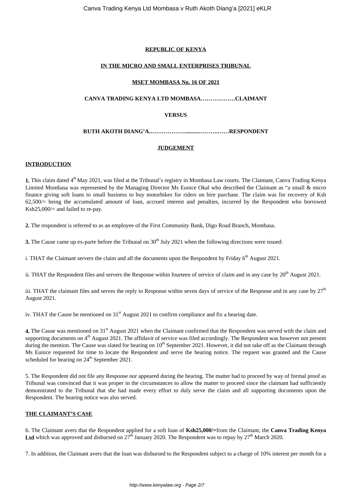## **REPUBLIC OF KENYA**

## **IN THE MICRO AND SMALL ENTERPRISES TRIBUNAL**

### **MSET MOMBASA No. 16 OF 2021**

# **CANVA TRADING KENYA LTD MOMBASA………………CLAIMANT**

## **VERSUS**

## **RUTH AKOTH DIANG'A.………………..........……….……RESPONDENT**

### **JUDGEMENT**

### **INTRODUCTION**

**1.** This claim dated 4<sup>th</sup> May 2021, was filed at the Tribunal's registry in Mombasa Law courts. The Claimant, Canva Trading Kenya Limited Mombasa was represented by the Managing Director Ms Eunice Okal who described the Claimant as "a small & micro finance giving soft loans to small business to buy motorbikes for riders on hire purchase. The claim was for recovery of Ksh  $62,500/$  being the accumulated amount of loan, accrued interest and penalties, incurred by the Respondent who borrowed Ksh $25,000/$  and failed to re-pay.

**2.** The respondent is referred to as an employee of the First Community Bank, Digo Road Branch, Mombasa.

**3.** The Cause came up ex-parte before the Tribunal on 30<sup>th</sup> July 2021 when the following directions were issued:

i. THAT the Claimant servers the claim and all the documents upon the Respondent by Friday  $6<sup>th</sup>$  August 2021.

ii. THAT the Respondent files and servers the Response within fourteen of service of claim and in any case by  $20<sup>th</sup>$  August 2021.

iii. THAT the claimant files and serves the reply to Response within seven days of service of the Response and in any case by  $27<sup>th</sup>$ August 2021.

iv. THAT the Cause be mentioned on  $31<sup>st</sup>$  August 2021 to confirm compliance and fix a hearing date.

**4.** The Cause was mentioned on 31<sup>st</sup> August 2021 when the Claimant confirmed that the Respondent was served with the claim and supporting documents on  $4<sup>th</sup>$  August 2021. The affidavit of service was filed accordingly. The Respondent was however not present during the mention. The Cause was slated for hearing on 10<sup>th</sup> September 2021. However, it did not take off as the Claimant through Ms Eunice requested for time to locate the Respondent and serve the hearing notice. The request was granted and the Cause scheduled for hearing on 24<sup>th</sup> September 2021.

5. The Respondent did not file any Response nor appeared during the hearing. The matter had to proceed by way of formal proof as Tribunal was convinced that it was proper in the circumstances to allow the matter to proceed since the claimant had sufficiently demonstrated to the Tribunal that she had made every effort to duly serve the claim and all supporting documents upon the Respondent. The hearing notice was also served.

## **THE CLAIMANT'S CASE**

6. The Claimant avers that the Respondent applied for a soft loan of **Ksh25,000/=**from the Claimant, the **Canva Trading Kenya** Ltd which was approved and disbursed on  $27<sup>th</sup>$  January 2020. The Respondent was to repay by  $27<sup>th</sup>$  March 2020.

7. In addition, the Claimant avers that the loan was disbursed to the Respondent subject to a charge of 10% interest per month for a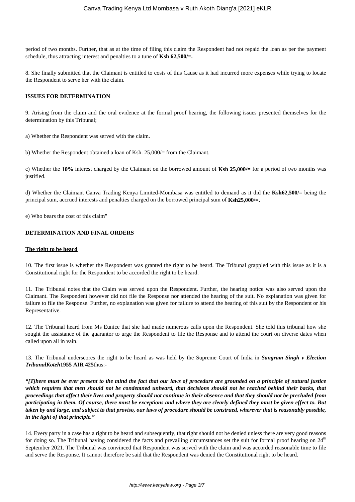period of two months. Further, that as at the time of filing this claim the Respondent had not repaid the loan as per the payment schedule, thus attracting interest and penalties to a tune of **Ksh 62,500/=.**

8. She finally submitted that the Claimant is entitled to costs of this Cause as it had incurred more expenses while trying to locate the Respondent to serve her with the claim.

#### **ISSUES FOR DETERMINATION**

9. Arising from the claim and the oral evidence at the formal proof hearing, the following issues presented themselves for the determination by this Tribunal;

a) Whether the Respondent was served with the claim.

b) Whether the Respondent obtained a loan of Ksh. 25,000/= from the Claimant.

c) Whether the **10%** interest charged by the Claimant on the borrowed amount of **Ksh 25,000/=** for a period of two months was justified.

d) Whether the Claimant Canva Trading Kenya Limited-Mombasa was entitled to demand as it did the **Ksh62,500/=** being the principal sum, accrued interests and penalties charged on the borrowed principal sum of **Ksh25,000/=.**

e) Who bears the cost of this claim"

### **DETERMINATION AND FINAL ORDERS**

#### **The right to be heard**

10. The first issue is whether the Respondent was granted the right to be heard. The Tribunal grappled with this issue as it is a Constitutional right for the Respondent to be accorded the right to be heard.

11. The Tribunal notes that the Claim was served upon the Respondent. Further, the hearing notice was also served upon the Claimant. The Respondent however did not file the Response nor attended the hearing of the suit. No explanation was given for failure to file the Response. Further, no explanation was given for failure to attend the hearing of this suit by the Respondent or his Representative.

12. The Tribunal heard from Ms Eunice that she had made numerous calls upon the Respondent. She told this tribunal how she sought the assistance of the guarantor to urge the Respondent to file the Response and to attend the court on diverse dates when called upon all in vain.

13. The Tribunal underscores the right to be heard as was held by the Supreme Court of India in *Sangram Singh v Election TribunalKoteh***1955 AIR 425**thus:-

*"[T]here must be ever present to the mind the fact that our laws of procedure are grounded on a principle of natural justice which requires that men should not be condemned unheard, that decisions should not be reached behind their backs, that proceedings that affect their lives and property should not continue in their absence and that they should not be precluded from participating in them. Of course, there must be exceptions and where they are clearly defined they must be given effect to. But taken by and large, and subject to that proviso, our laws of procedure should be construed, wherever that is reasonably possible, in the light of that principle."*

14. Every party in a case has a right to be heard and subsequently, that right should not be denied unless there are very good reasons for doing so. The Tribunal having considered the facts and prevailing circumstances set the suit for formal proof hearing on  $24<sup>th</sup>$ September 2021. The Tribunal was convinced that Respondent was served with the claim and was accorded reasonable time to file and serve the Response. It cannot therefore be said that the Respondent was denied the Constitutional right to be heard.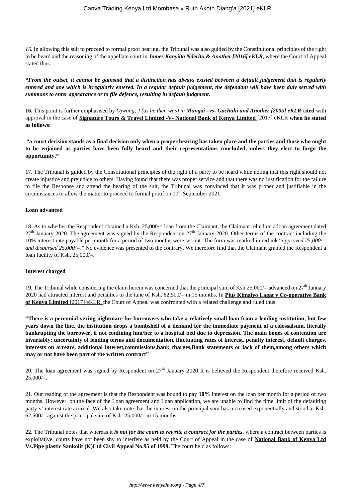*15.* In allowing this suit to proceed to formal proof hearing, the Tribunal was also guided by the Constitutional principles of the right to be heard and the reasoning of the appellate court in *James Kanyiita Nderitu & Another [2016] eKLR*, where the Court of Appeal stated thus:

*"From the outset, it cannot be gainsaid that a distinction has always existed between a default judgement that is regularly entered and one which is irregularly entered. In a regular default judgement, the defendant will have been duly served with summons to enter appearance or to file defence, resulting in default judgment.*

**16.** This point is further emphasised by *Ojwang, J (as he then was) in Mungai –vs- Gachuhi and Another [2005] eKLR* c**ited** with approval in the case of **Signature Tours & Travel Limited -V- National Bank of Kenya Limited** [2017] eKLR **when he stated as follows:** 

"**a court decision stands as a final decision only when a proper hearing has taken place and the parties and those who ought to be enjoined as parties have been fully heard and their representations concluded, unless they elect to forgo the opportunity."**

17. The Tribunal is guided by the Constitutional principles of the right of a party to be heard while noting that this right should not create injustice and prejudice to others. Having found that there was proper service and that there was no justification for the failure to file the Response and attend the hearing of the suit, the Tribunal was convinced that it was proper and justifiable in the circumstances to allow the matter to proceed to formal proof on  $10<sup>th</sup>$  September 2021.

#### **Loan advanced**

18. As to whether the Respondent obtained a Ksh. 25,000/= loan from the Claimant, the Claimant relied on a loan agreement dated  $27<sup>th</sup>$  January 2020. The agreement was signed by the Respondent on  $27<sup>th</sup>$  January 2020. Other terms of the contract including the 10% interest rate payable per month for a period of two months were set out. The form was marked in red ink "*approved 25,000/= and disbursed 25,000/=*." No evidence was presented to the contrary. We therefore find that the Claimant granted the Respondent a loan facility of Ksh. 25,000/=.

#### **Interest charged**

19. The Tribunal while considering the claim herein was concerned that the principal sum of Ksh.25,000/= advanced on  $27<sup>th</sup>$  January 2020 had attracted interest and penalties to the tune of Ksh. 62,500/= in 15 months. In **Pius Kimaiyo Lagat v Co-operative Bank of Kenya Limited** [2017] eKLR, the Court of Appeal was confronted with a related challenge and ruled thus:

**"There is a perennial vexing nightmare for borrowers who take a relatively small loan from a lending institution, but few years down the line, the institution drops a bombshell of a demand for the immediate payment of a colossalsum, literally bankrupting the borrower, if not confining him/her to a hospital bed due to depression. The main bones of contention are invariably; uncertainty of lending terms and documentation, fluctuating rates of interest, penalty interest, default charges, interests on arrears, additional interest,commissions,bank charges,Bank statements or lack of them,among others which may or not have been part of the written contract"**

20. The loan agreement was signed by Respondent on  $27<sup>th</sup>$  January 2020 It is believed the Respondent therefore received Ksh.  $25,000/=$ .

21. Our reading of the agreement is that the Respondent was bound to pay **10%** interest on the loan per month for a period of two months. However, on the face of the Loan agreement and Loan application, we are unable to find the time limit of the defaulting party's' interest rate accrual. We also take note that the interest on the principal sum has increased exponentially and stood at Ksh.  $62,500/$  against the principal sum of Ksh. 25,000/ = in 15 months.

22. The Tribunal notes that whereas it *is not for the court to rewrite a contract for the parties*, where a contract between parties is exploitative, courts have not been shy to interfere as held by the Court of Appeal in the case of **National Bank of Kenya Ltd Vs.Pipe plastic Sankolit (K)Ltd Civil Appeal No.95 of 1999.** The court held as follows: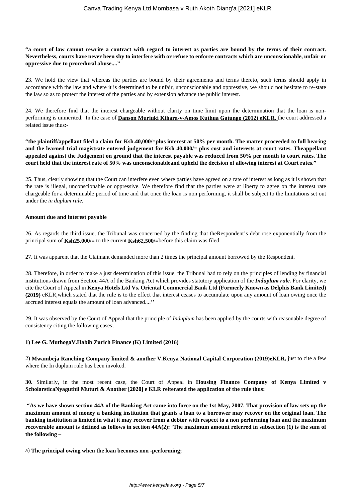### **"a court of law cannot rewrite a contract with regard to interest as parties are bound by the terms of their contract. Nevertheless, courts have never been shy to interfere with or refuse to enforce contracts which are unconscionable, unfair or oppressive due to procedural abuse...."**

23. We hold the view that whereas the parties are bound by their agreements and terms thereto, such terms should apply in accordance with the law and where it is determined to be unfair, unconscionable and oppressive, we should not hesitate to re-state the law so as to protect the interest of the parties and by extension advance the public interest.

24. We therefore find that the interest chargeable without clarity on time limit upon the determination that the loan is nonperforming is unmerited. In the case of **Danson Muriuki Kihara-v-Amos Kuthua Gatungo (2012) eKLR,** the court addressed a related issue thus:-

**"the plaintiff/appellant filed a claim for Ksh.40,000/=plus interest at 50% per month. The matter proceeded to full hearing and the learned trial magistrate entered judgement for Ksh 40,000/= plus cost and interests at court rates. Theappellant appealed against the Judgement on ground that the interest payable was reduced from 50% per month to court rates. The court held that the interest rate of 50% was unconscionableand upheld the decision of allowing interest at Court rates."**

25. Thus, clearly showing that the Court can interfere even where parties have agreed on a rate of interest as long as it is shown that the rate is illegal, unconscionable or oppressive. We therefore find that the parties were at liberty to agree on the interest rate chargeable for a determinable period of time and that once the loan is non performing, it shall be subject to the limitations set out under the *in duplum rule.* 

#### **Amount due and interest payable**

26. As regards the third issue, the Tribunal was concerned by the finding that theRespondent's debt rose exponentially from the principal sum of **Ksh25,000/=** to the current **Ksh62,500/=**before this claim was filed.

27. It was apparent that the Claimant demanded more than 2 times the principal amount borrowed by the Respondent.

28. Therefore, in order to make a just determination of this issue, the Tribunal had to rely on the principles of lending by financial institutions drawn from Section 44A of the Banking Act which provides statutory application of the *Induplum rule.* For clarity, we cite the Court of Appeal in **Kenya Hotels Ltd Vs. Oriental Commercial Bank Ltd (Formerly Known as Delphis Bank Limited) (2019)** eKLR,which stated that the rule is to the effect that interest ceases to accumulate upon any amount of loan owing once the accrued interest equals the amount of loan advanced....''

29. It was observed by the Court of Appeal that the principle of *Induplum* has been applied by the courts with reasonable degree of consistency citing the following cases;

### **1) Lee G. MuthogaV.Habib Zurich Finance (K) Limited (2016)**

2) **Mwambeja Ranching Company limited & another V.Kenya National Capital Corporation (2019)eKLR**, just to cite a few where the In duplum rule has been invoked.

**30.** Similarly, in the most recent case, the Court of Appeal in **Housing Finance Company of Kenya Limited v ScholarsticaNyaguthii Muturi & Another [2020] e KLR reiterated the application of the rule thus:** 

**"As we have shown section 44A of the Banking Act came into force on the 1st May, 2007. That provision of law sets up the maximum amount of money a banking institution that grants a loan to a borrower may recover on the original loan. The banking institution is limited in what it may recover from a debtor with respect to a non performing loan and the maximum recoverable amount is defined as follows in section 44A(2):***"***The maximum amount referred in subsection (1) is the sum of the following –**

a) **The principal owing when the loan becomes non -performing;**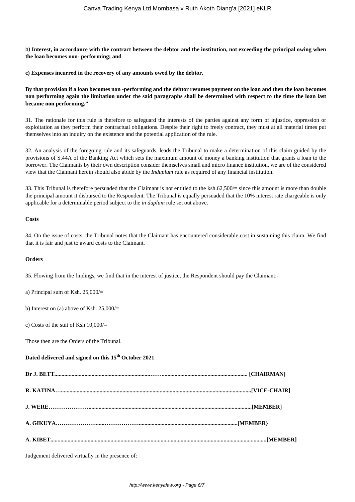b) **Interest, in accordance with the contract between the debtor and the institution, not exceeding the principal owing when the loan becomes non- performing; and**

**c) Expenses incurred in the recovery of any amounts owed by the debtor.**

**By that provision if a loan becomes non -performing and the debtor resumes payment on the loan and then the loan becomes non performing again the limitation under the said paragraphs shall be determined with respect to the time the loan last became non performing."**

31. The rationale for this rule is therefore to safeguard the interests of the parties against any form of injustice, oppression or exploitation as they perform their contractual obligations. Despite their right to freely contract, they must at all material times put themselves into an inquiry on the existence and the potential application of the rule.

32. An analysis of the foregoing rule and its safeguards, leads the Tribunal to make a determination of this claim guided by the provisions of S.44A of the Banking Act which sets the maximum amount of money a banking institution that grants a loan to the borrower. The Claimants by their own description consider themselves small and micro finance institution, we are of the considered view that the Claimant herein should also abide by the *Induplum* rule as required of any financial institution.

33. This Tribunal is therefore persuaded that the Claimant is not entitled to the ksh.62,500/= since this amount is more than double the principal amount it disbursed to the Respondent. The Tribunal is equally persuaded that the 10% interest rate chargeable is only applicable for a determinable period subject to the *in duplum* rule set out above.

#### **Costs**

34. On the issue of costs, the Tribunal notes that the Claimant has encountered considerable cost in sustaining this claim. We find that it is fair and just to award costs to the Claimant.

#### **Orders**

35. Flowing from the findings, we find that in the interest of justice, the Respondent should pay the Claimant:-

a) Principal sum of Ksh. 25,000/=

b) Interest on (a) above of Ksh. 25,000/=

c) Costs of the suit of Ksh  $10,000/$ =

Those then are the Orders of the Tribunal.

# **Dated delivered and signed on this 15th October 2021**

Judgement delivered virtually in the presence of: